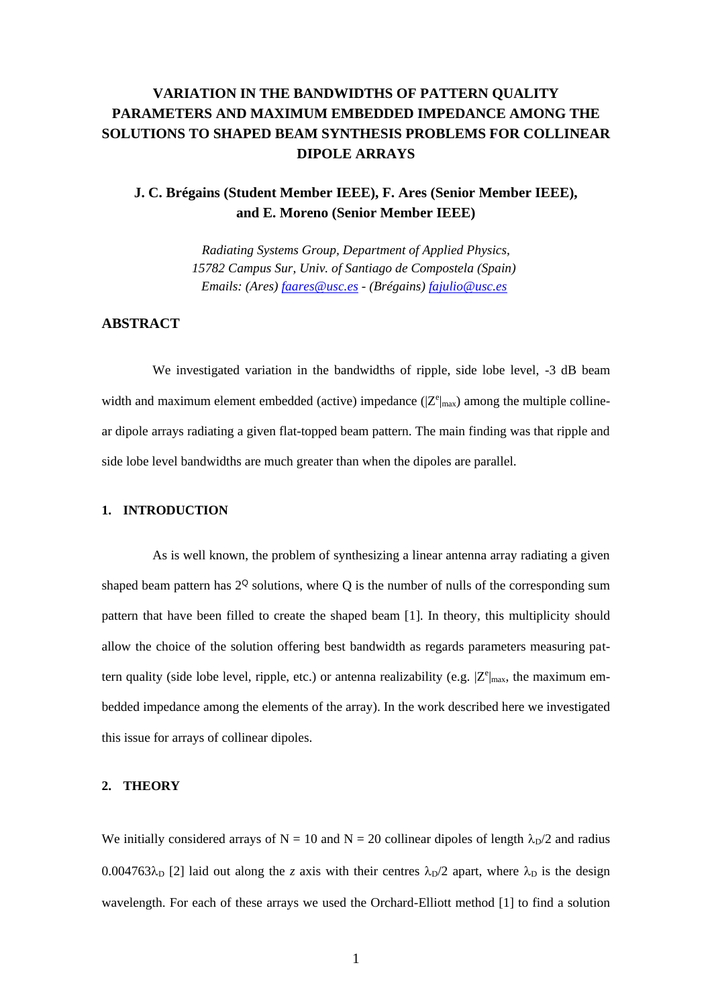# **VARIATION IN THE BANDWIDTHS OF PATTERN QUALITY PARAMETERS AND MAXIMUM EMBEDDED IMPEDANCE AMONG THE SOLUTIONS TO SHAPED BEAM SYNTHESIS PROBLEMS FOR COLLINEAR DIPOLE ARRAYS**

## **J. C. Brégains (Student Member IEEE), F. Ares (Senior Member IEEE), and E. Moreno (Senior Member IEEE)**

*Radiating Systems Group, Department of Applied Physics, 15782 Campus Sur, Univ. of Santiago de Compostela (Spain) Emails: (Ares) [faares@usc.es](mailto:faares@usc.es) - (Brégains) [fajulio@usc.es](mailto:fajulio@usc.es)* 

### **ABSTRACT**

We investigated variation in the bandwidths of ripple, side lobe level,  $-3$  dB beam width and maximum element embedded (active) impedance  $(|Z^e|_{max})$  among the multiple collinear dipole arrays radiating a given flat-topped beam pattern. The main finding was that ripple and side lobe level bandwidths are much greater than when the dipoles are parallel.

#### **1. INTRODUCTION**

As is well known, the problem of synthesizing a linear antenna array radiating a given shaped beam pattern has  $2^{\mathbb{Q}}$  solutions, where Q is the number of nulls of the corresponding sum pattern that have been filled to create the shaped beam [1]. In theory, this multiplicity should allow the choice of the solution offering best bandwidth as regards parameters measuring pattern quality (side lobe level, ripple, etc.) or antenna realizability (e.g.  $|Z^e|_{\text{max}}$ , the maximum embedded impedance among the elements of the array). In the work described here we investigated this issue for arrays of collinear dipoles.

#### **2. THEORY**

We initially considered arrays of N = 10 and N = 20 collinear dipoles of length  $\lambda_{D}/2$  and radius  $0.004763\lambda_{\rm D}$  [2] laid out along the *z* axis with their centres  $\lambda_{\rm D}/2$  apart, where  $\lambda_{\rm D}$  is the design wavelength. For each of these arrays we used the Orchard-Elliott method [1] to find a solution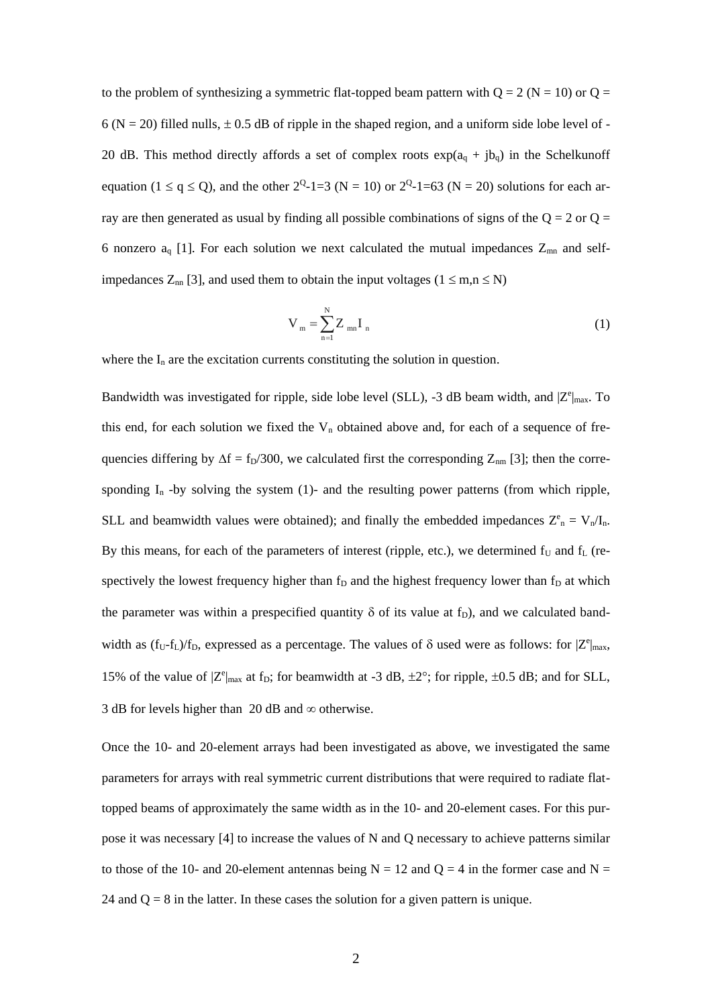to the problem of synthesizing a symmetric flat-topped beam pattern with  $Q = 2 (N = 10)$  or  $Q =$  $6 (N = 20)$  filled nulls,  $\pm 0.5$  dB of ripple in the shaped region, and a uniform side lobe level of -20 dB. This method directly affords a set of complex roots  $exp(a_0 + ib_0)$  in the Schelkunoff equation ( $1 \le q \le Q$ ), and the other  $2^Q$ -1=3 (N = 10) or  $2^Q$ -1=63 (N = 20) solutions for each array are then generated as usual by finding all possible combinations of signs of the  $Q = 2$  or  $Q =$ 6 nonzero  $a_q$  [1]. For each solution we next calculated the mutual impedances  $Z_{mn}$  and selfimpedances  $Z_{nn}$  [3], and used them to obtain the input voltages ( $1 \le m,n \le N$ )

$$
V_m = \sum_{n=1}^{N} Z_{mn} I_n
$$
 (1)

where the  $I_n$  are the excitation currents constituting the solution in question.

Bandwidth was investigated for ripple, side lobe level (SLL), -3 dB beam width, and  $|Z^e|_{max}$ . To this end, for each solution we fixed the  $V_n$  obtained above and, for each of a sequence of frequencies differing by  $\Delta f = f_D/300$ , we calculated first the corresponding  $Z_{nm}$  [3]; then the corresponding  $I_n$  -by solving the system (1)- and the resulting power patterns (from which ripple, SLL and beamwidth values were obtained); and finally the embedded impedances  $Z_{n}^{e} = V_{n}/I_{n}$ . By this means, for each of the parameters of interest (ripple, etc.), we determined  $f_U$  and  $f_L$  (respectively the lowest frequency higher than  $f<sub>D</sub>$  and the highest frequency lower than  $f<sub>D</sub>$  at which the parameter was within a prespecified quantity  $\delta$  of its value at f<sub>D</sub>), and we calculated bandwidth as  $(f_U - f_L)/f_D$ , expressed as a percentage. The values of  $\delta$  used were as follows: for  $|Z^e|_{\text{max}}$ , 15% of the value of  $|Z^e|_{max}$  at f<sub>D</sub>; for beamwidth at -3 dB,  $\pm 2^{\circ}$ ; for ripple,  $\pm 0.5$  dB; and for SLL, 3 dB for levels higher than 20 dB and  $\infty$  otherwise.

Once the 10- and 20-element arrays had been investigated as above, we investigated the same parameters for arrays with real symmetric current distributions that were required to radiate flattopped beams of approximately the same width as in the 10- and 20-element cases. For this purpose it was necessary [4] to increase the values of N and Q necessary to achieve patterns similar to those of the 10- and 20-element antennas being  $N = 12$  and  $Q = 4$  in the former case and  $N =$ 24 and  $Q = 8$  in the latter. In these cases the solution for a given pattern is unique.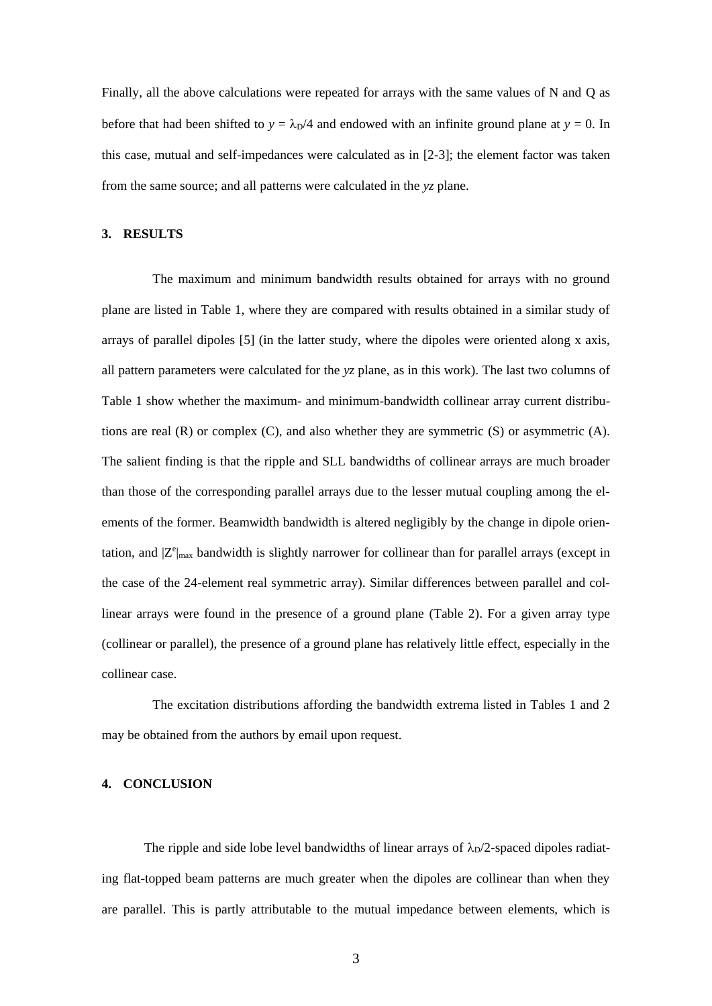Finally, all the above calculations were repeated for arrays with the same values of N and Q as before that had been shifted to  $y = \lambda_D/4$  and endowed with an infinite ground plane at  $y = 0$ . In this case, mutual and self-impedances were calculated as in [2-3]; the element factor was taken from the same source; and all patterns were calculated in the *yz* plane.

### **3. RESULTS**

The maximum and minimum bandwidth results obtained for arrays with no ground plane are listed in Table 1, where they are compared with results obtained in a similar study of arrays of parallel dipoles [5] (in the latter study, where the dipoles were oriented along x axis, all pattern parameters were calculated for the *yz* plane, as in this work). The last two columns of Table 1 show whether the maximum- and minimum-bandwidth collinear array current distributions are real (R) or complex (C), and also whether they are symmetric (S) or asymmetric (A). The salient finding is that the ripple and SLL bandwidths of collinear arrays are much broader than those of the corresponding parallel arrays due to the lesser mutual coupling among the elements of the former. Beamwidth bandwidth is altered negligibly by the change in dipole orientation, and  $|Z^e|_{\text{max}}$  bandwidth is slightly narrower for collinear than for parallel arrays (except in the case of the 24-element real symmetric array). Similar differences between parallel and collinear arrays were found in the presence of a ground plane (Table 2). For a given array type (collinear or parallel), the presence of a ground plane has relatively little effect, especially in the collinear case.

The excitation distributions affording the bandwidth extrema listed in Tables 1 and 2 may be obtained from the authors by email upon request.

#### **4. CONCLUSION**

The ripple and side lobe level bandwidths of linear arrays of  $\lambda_p/2$ -spaced dipoles radiating flat-topped beam patterns are much greater when the dipoles are collinear than when they are parallel. This is partly attributable to the mutual impedance between elements, which is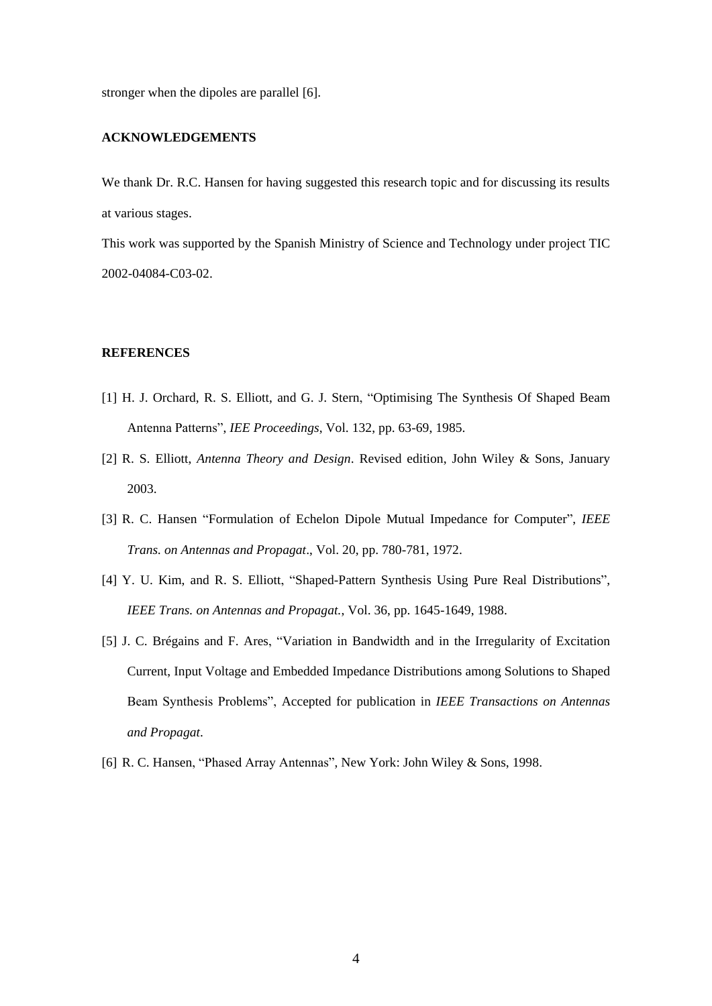stronger when the dipoles are parallel [6].

#### **ACKNOWLEDGEMENTS**

We thank Dr. R.C. Hansen for having suggested this research topic and for discussing its results at various stages.

This work was supported by the Spanish Ministry of Science and Technology under project TIC 2002-04084-C03-02.

#### **REFERENCES**

- [1] H. J. Orchard, R. S. Elliott, and G. J. Stern, "Optimising The Synthesis Of Shaped Beam Antenna Patterns", *IEE Proceedings*, Vol. 132, pp. 63-69, 1985.
- [2] R. S. Elliott, *Antenna Theory and Design*. Revised edition, John Wiley & Sons, January 2003.
- [3] R. C. Hansen "Formulation of Echelon Dipole Mutual Impedance for Computer", *IEEE Trans. on Antennas and Propagat*., Vol. 20, pp. 780-781, 1972.
- [4] Y. U. Kim, and R. S. Elliott, "Shaped-Pattern Synthesis Using Pure Real Distributions", *IEEE Trans. on Antennas and Propagat.*, Vol. 36, pp. 1645-1649, 1988.
- [5] J. C. Brégains and F. Ares, "Variation in Bandwidth and in the Irregularity of Excitation Current, Input Voltage and Embedded Impedance Distributions among Solutions to Shaped Beam Synthesis Problems", Accepted for publication in *IEEE Transactions on Antennas and Propagat*.
- [6] R. C. Hansen, "Phased Array Antennas", New York: John Wiley & Sons, 1998.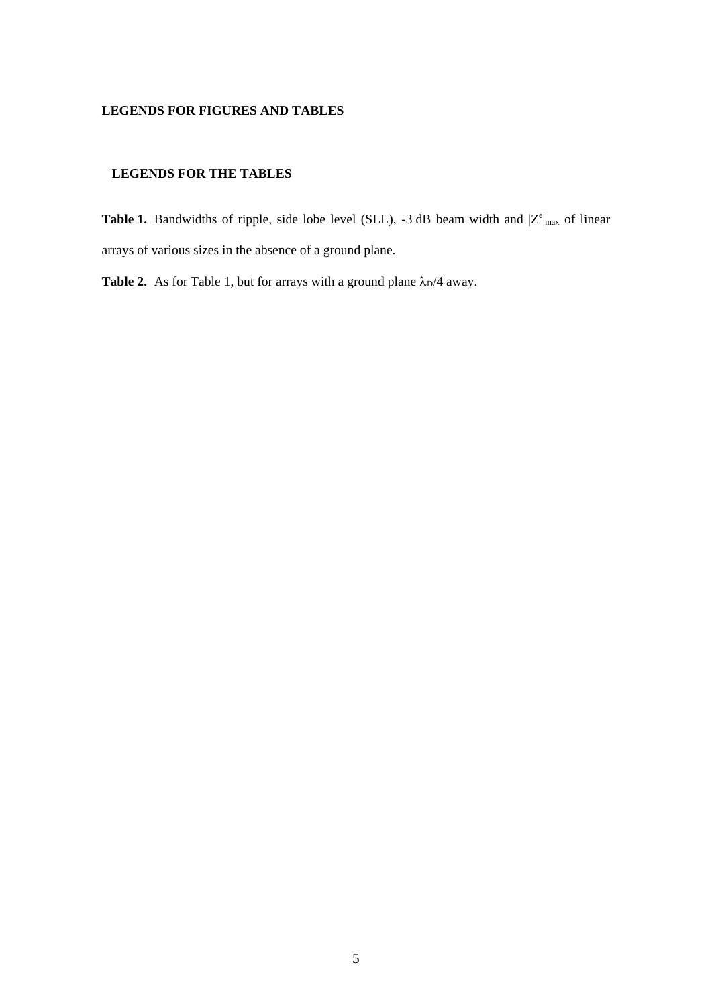### **LEGENDS FOR FIGURES AND TABLES**

### **LEGENDS FOR THE TABLES**

**Table 1.** Bandwidths of ripple, side lobe level (SLL), -3 dB beam width and  $|Z^e|_{max}$  of linear arrays of various sizes in the absence of a ground plane.

**Table 2.** As for Table 1, but for arrays with a ground plane  $\lambda_{D}/4$  away.